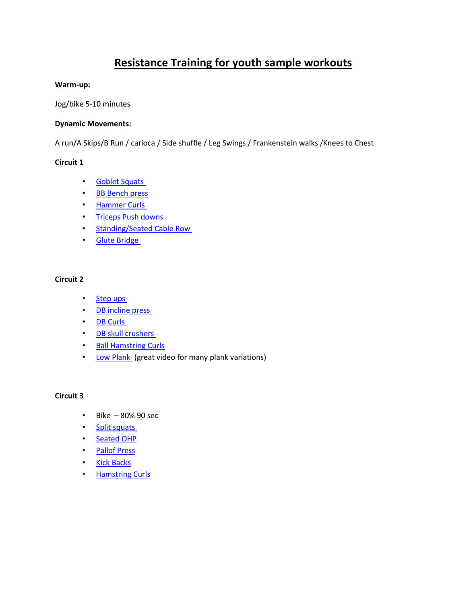# **Resistance Training for youth sample workouts**

#### **Warm-up:**

Jog/bike 5-10 minutes

#### **Dynamic Movements:**

A run/A Skips/B Run / carioca / Side shuffle / Leg Swings / Frankenstein walks /Knees to Chest

### **Circuit 1**

- [Goblet Squats](https://youtu.be/ONh_HjAnLBs)
- [BB Bench press](https://youtu.be/2KTA9fLY2PU)
- [Hammer Curls](https://youtu.be/2-b8MSjcWTg)
- [Triceps Push downs](https://youtu.be/FsSnnlV2Vps)
- [Standing/Seated](https://youtu.be/9AODjutglP4) Cable Row
- [Glute Bridge](https://youtu.be/E3UYvThPO7Q)

#### **Circuit 2**

- [Step ups](https://youtu.be/JRrQpo8sKAU)
- [DB incline press](https://youtu.be/8f5av3ay48A)
- [DB Curls](https://youtu.be/lAUy25MvomQ)
- [DB skull crushers](https://youtu.be/Qgs1GZOedmg)
- [Ball Hamstring Curls](https://youtu.be/IJ_bXorKMMo)
- [Low Plank](https://www.youtube.com/watch?v=ASdvN_XEl_c) (great video for many plank variations)

### **Circuit 3**

- Bike 80% 90 sec
- [Split squats](https://youtu.be/2H8qN3xt-ro)
- [Seated OHP](https://youtu.be/n01cXyJ7OSI)
- [Pallof Press](https://youtu.be/rts4oLM6lGs)
- [Kick Backs](https://youtu.be/66UFfKV0-B0)
- [Hamstring Curls](https://youtu.be/oViYJxQrf6k)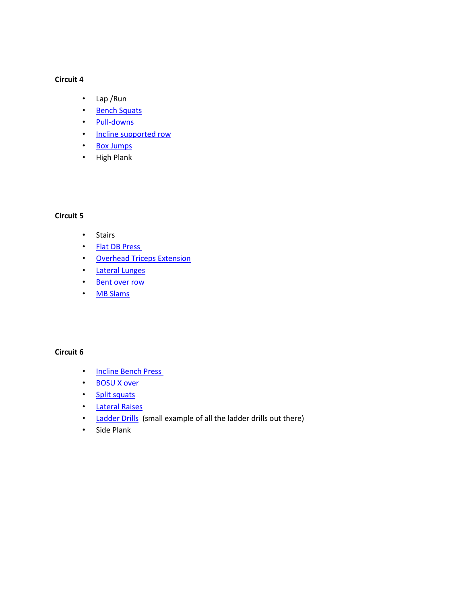### **Circuit 4**

- Lap /Run
- [Bench Squats](https://youtu.be/hyqI0cT5BFA)
- [Pull-downs](https://youtu.be/2x9E_reM8cU)
- [Incline supported row](https://www.youtube.com/watch?v=nl2MnK1i504)
- [Box Jumps](https://www.youtube.com/watch?v=NBY9-kTuHEk)
- High Plank

# **Circuit 5**

- Stairs
- Flat [DB Press](https://youtu.be/Yv41b8GLTIw)
- [Overhead Triceps Extension](https://youtu.be/s-FoAbMyHTc)
- [Lateral Lunges](https://youtu.be/3M9Z5lh-Qfc)
- [Bent over row](https://youtu.be/cZvQNvTUUu0)
- MB [Slams](https://www.youtube.com/watch?v=-P-9S2b6Ax4)

# **Circuit 6**

- [Incline Bench Press](https://youtu.be/J73fJNS4A0I)
- [BOSU X over](https://youtu.be/eDVhlQsrsoE)
- [Split squats](https://www.youtube.com/watch?v=lHa6aCpFndo)
- [Lateral Raises](https://youtu.be/3WPwYJ3QAbs)
- [Ladder Drills](https://www.youtube.com/watch?v=4taYjKlmihU) (small example of all the ladder drills out there)
- Side Plank